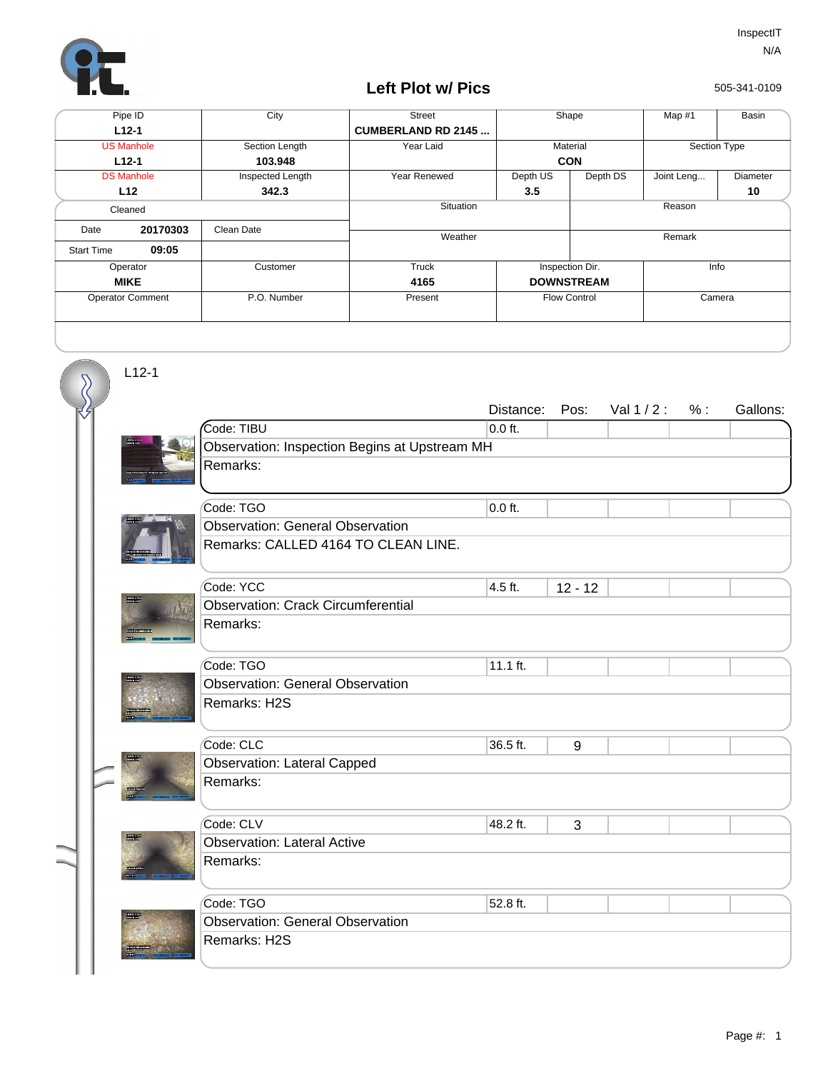

## **Left Plot w/ Pics**

505-341-0109

| Pipe ID                 |          | City             | <b>Street</b>             |                     | Shape    | Map $#1$     | Basin    |
|-------------------------|----------|------------------|---------------------------|---------------------|----------|--------------|----------|
| $L12-1$                 |          |                  | <b>CUMBERLAND RD 2145</b> |                     |          |              |          |
| <b>US Manhole</b>       |          | Section Length   | Year Laid                 | Material            |          | Section Type |          |
| $L12-1$                 |          | 103.948          |                           | <b>CON</b>          |          |              |          |
| <b>DS Manhole</b>       |          | Inspected Length | Year Renewed              | Depth US            | Depth DS | Joint Leng   | Diameter |
|                         | L12      | 342.3            |                           | 3.5                 |          |              | 10       |
| Cleaned                 |          |                  | Situation                 | Reason              |          |              |          |
| Date                    | 20170303 | Clean Date       | Weather                   |                     |          | Remark       |          |
| <b>Start Time</b>       | 09:05    |                  |                           |                     |          |              |          |
| Operator                |          | Customer         | Truck                     | Inspection Dir.     |          | Info         |          |
| <b>MIKE</b>             |          |                  | 4165                      | <b>DOWNSTREAM</b>   |          |              |          |
| <b>Operator Comment</b> |          | P.O. Number      | Present                   | <b>Flow Control</b> |          | Camera       |          |
|                         |          |                  |                           |                     |          |              |          |

L12-1

 $\overline{\mathcal{S}}$ 

|              |                                               | Distance: | Pos:      | Val 1/2: | % : | Gallons: |  |  |  |  |
|--------------|-----------------------------------------------|-----------|-----------|----------|-----|----------|--|--|--|--|
|              | Code: TIBU                                    | $0.0$ ft. |           |          |     |          |  |  |  |  |
|              | Observation: Inspection Begins at Upstream MH |           |           |          |     |          |  |  |  |  |
|              | Remarks:                                      |           |           |          |     |          |  |  |  |  |
|              |                                               |           |           |          |     |          |  |  |  |  |
|              | Code: TGO                                     | $0.0$ ft. |           |          |     |          |  |  |  |  |
|              | <b>Observation: General Observation</b>       |           |           |          |     |          |  |  |  |  |
|              | Remarks: CALLED 4164 TO CLEAN LINE.           |           |           |          |     |          |  |  |  |  |
|              | Code: YCC                                     | 4.5 ft.   | $12 - 12$ |          |     |          |  |  |  |  |
|              | <b>Observation: Crack Circumferential</b>     |           |           |          |     |          |  |  |  |  |
|              | Remarks:                                      |           |           |          |     |          |  |  |  |  |
|              |                                               |           |           |          |     |          |  |  |  |  |
|              | Code: TGO                                     | 11.1 ft.  |           |          |     |          |  |  |  |  |
|              | <b>Observation: General Observation</b>       |           |           |          |     |          |  |  |  |  |
|              | Remarks: H2S                                  |           |           |          |     |          |  |  |  |  |
|              |                                               |           |           |          |     |          |  |  |  |  |
|              | Code: CLC                                     | 36.5 ft.  | 9         |          |     |          |  |  |  |  |
|              | <b>Observation: Lateral Capped</b>            |           |           |          |     |          |  |  |  |  |
|              | Remarks:                                      |           |           |          |     |          |  |  |  |  |
|              |                                               |           |           |          |     |          |  |  |  |  |
|              | Code: CLV                                     | 48.2 ft.  | 3         |          |     |          |  |  |  |  |
| <b>TORES</b> | <b>Observation: Lateral Active</b>            |           |           |          |     |          |  |  |  |  |
|              | Remarks:                                      |           |           |          |     |          |  |  |  |  |
|              |                                               |           |           |          |     |          |  |  |  |  |
|              | Code: TGO                                     | 52.8 ft.  |           |          |     |          |  |  |  |  |
|              | <b>Observation: General Observation</b>       |           |           |          |     |          |  |  |  |  |
|              | Remarks: H2S                                  |           |           |          |     |          |  |  |  |  |
|              |                                               |           |           |          |     |          |  |  |  |  |
|              |                                               |           |           |          |     |          |  |  |  |  |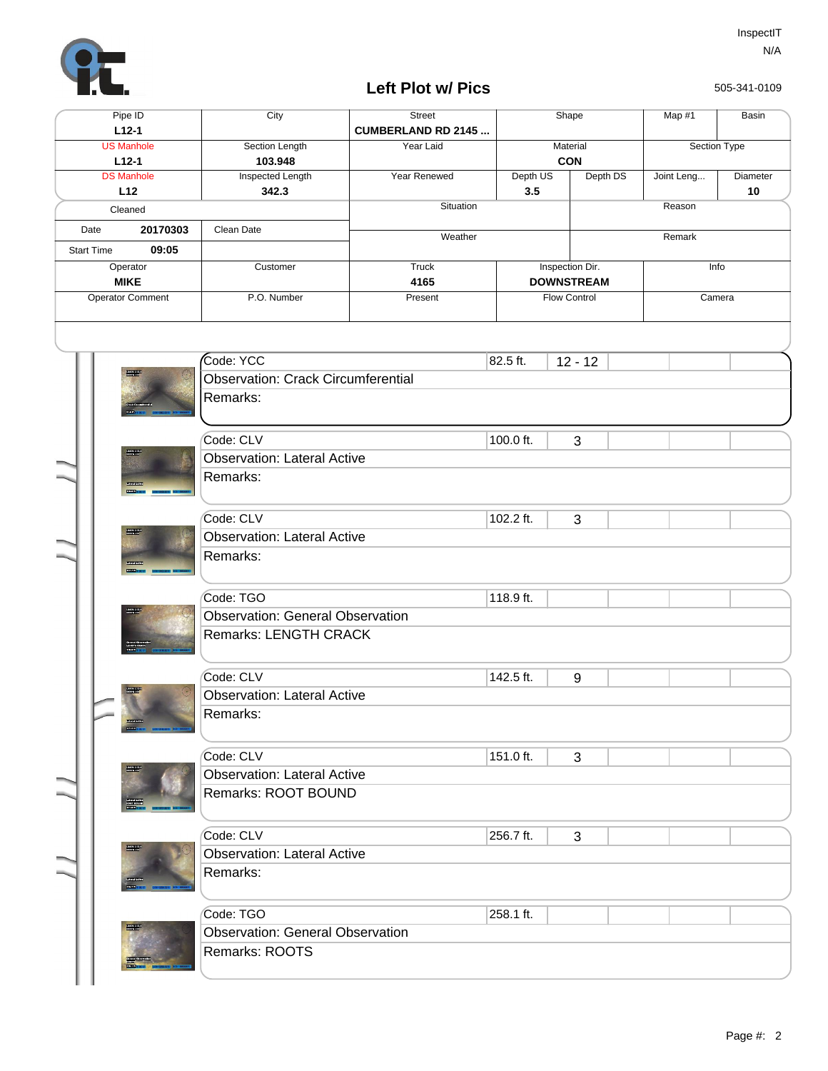

## **Left Plot w/ Pics**

505-341-0109

|                            |  | Pipe ID<br>$L12-1$           | City                                      | Street<br><b>CUMBERLAND RD 2145</b> |                                      | Shape                  |          | Map #1       | Basin    |  |  |
|----------------------------|--|------------------------------|-------------------------------------------|-------------------------------------|--------------------------------------|------------------------|----------|--------------|----------|--|--|
|                            |  | <b>US Manhole</b><br>$L12-1$ | Section Length<br>103.948                 | Year Laid                           |                                      | Material<br><b>CON</b> |          | Section Type |          |  |  |
| <b>DS Manhole</b>          |  |                              | <b>Inspected Length</b>                   | Year Renewed                        | Depth US                             |                        | Depth DS | Joint Leng   | Diameter |  |  |
| L12<br>Cleaned             |  |                              | 342.3                                     | Situation                           | 3.5                                  |                        |          | Reason       | 10       |  |  |
| 20170303<br>Date           |  |                              | Clean Date                                | Weather                             |                                      |                        |          | Remark       |          |  |  |
| 09:05<br><b>Start Time</b> |  |                              |                                           |                                     |                                      |                        |          |              |          |  |  |
| Operator<br><b>MIKE</b>    |  |                              | Customer                                  | <b>Truck</b><br>4165                | Inspection Dir.<br><b>DOWNSTREAM</b> |                        |          | Info         |          |  |  |
| <b>Operator Comment</b>    |  |                              | P.O. Number                               | Present                             |                                      | Flow Control<br>Camera |          |              |          |  |  |
|                            |  |                              |                                           |                                     |                                      |                        |          |              |          |  |  |
|                            |  |                              |                                           |                                     |                                      |                        |          |              |          |  |  |
|                            |  |                              | Code: YCC                                 |                                     | 82.5 ft.                             | $12 - 12$              |          |              |          |  |  |
|                            |  | <b>Road</b>                  | <b>Observation: Crack Circumferential</b> |                                     |                                      |                        |          |              |          |  |  |
|                            |  |                              | Remarks:                                  |                                     |                                      |                        |          |              |          |  |  |
|                            |  |                              |                                           |                                     |                                      |                        |          |              |          |  |  |
|                            |  |                              | Code: CLV                                 |                                     | 100.0 ft.                            | 3                      |          |              |          |  |  |
|                            |  |                              | <b>Observation: Lateral Active</b>        |                                     |                                      |                        |          |              |          |  |  |
|                            |  |                              | Remarks:                                  |                                     |                                      |                        |          |              |          |  |  |
|                            |  |                              | Code: CLV                                 |                                     | 102.2 ft.                            | 3                      |          |              |          |  |  |
|                            |  | $\frac{1}{2}$                | <b>Observation: Lateral Active</b>        |                                     |                                      |                        |          |              |          |  |  |
|                            |  |                              | Remarks:                                  |                                     |                                      |                        |          |              |          |  |  |
|                            |  |                              | Code: TGO                                 |                                     | 118.9 ft.                            |                        |          |              |          |  |  |
|                            |  |                              | <b>Observation: General Observation</b>   |                                     |                                      |                        |          |              |          |  |  |
|                            |  |                              | Remarks: LENGTH CRACK                     |                                     |                                      |                        |          |              |          |  |  |
|                            |  |                              | Code: CLV                                 |                                     | 142.5 ft.                            | 9                      |          |              |          |  |  |
|                            |  | 000-00131<br>Municipal       | <b>Observation: Lateral Active</b>        |                                     |                                      |                        |          |              |          |  |  |
|                            |  |                              | Remarks:                                  |                                     |                                      |                        |          |              |          |  |  |
|                            |  |                              | Code: CLV                                 |                                     | 151.0 ft.                            | 3                      |          |              |          |  |  |
|                            |  |                              | <b>Observation: Lateral Active</b>        |                                     |                                      |                        |          |              |          |  |  |
|                            |  |                              | Remarks: ROOT BOUND                       |                                     |                                      |                        |          |              |          |  |  |
|                            |  |                              | Code: CLV                                 |                                     | 256.7 ft.                            | 3                      |          |              |          |  |  |
|                            |  | <b>Reader</b>                | <b>Observation: Lateral Active</b>        |                                     |                                      |                        |          |              |          |  |  |
|                            |  |                              | Remarks:                                  |                                     |                                      |                        |          |              |          |  |  |
|                            |  |                              | Code: TGO                                 |                                     | 258.1 ft.                            |                        |          |              |          |  |  |
|                            |  |                              | <b>Observation: General Observation</b>   |                                     |                                      |                        |          |              |          |  |  |
|                            |  |                              | Remarks: ROOTS                            |                                     |                                      |                        |          |              |          |  |  |
|                            |  |                              |                                           |                                     |                                      |                        |          |              |          |  |  |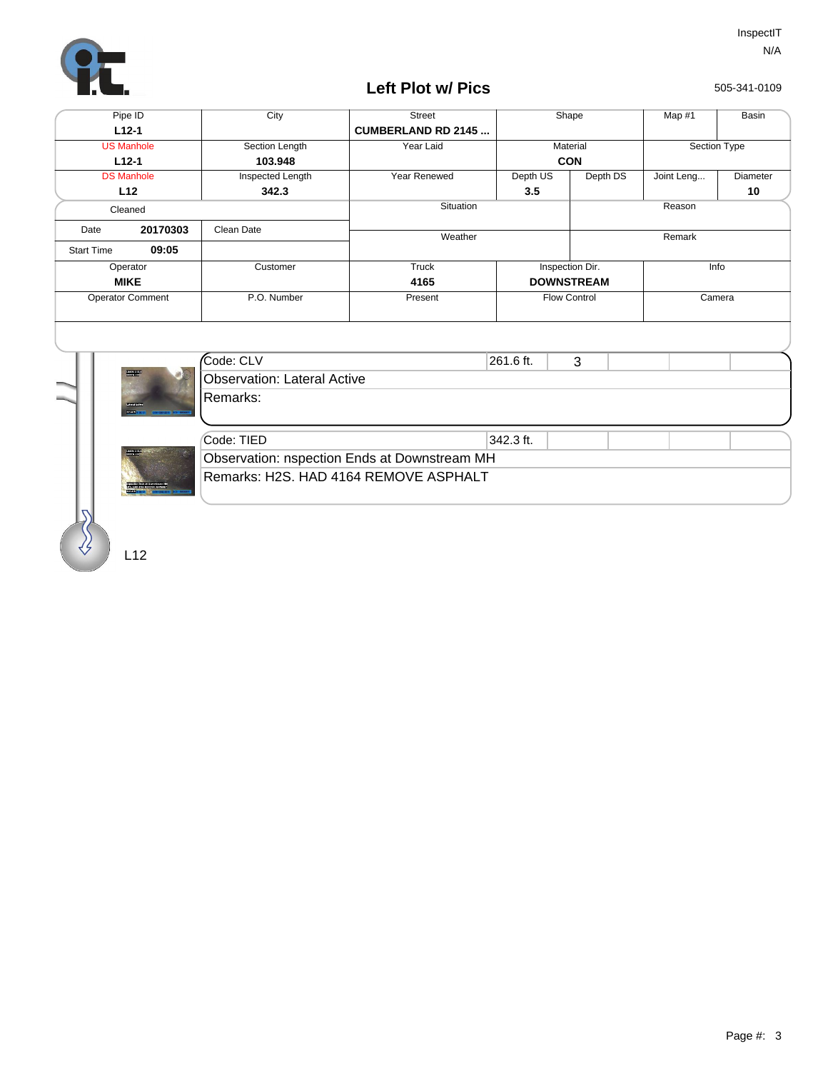

## **Left Plot w/ Pics**

505-341-0109

| Pipe ID                 |               | City                               | <b>Street</b>                                | Shape             |          | Map #1       | Basin           |
|-------------------------|---------------|------------------------------------|----------------------------------------------|-------------------|----------|--------------|-----------------|
| $L12-1$                 |               |                                    | <b>CUMBERLAND RD 2145</b>                    |                   |          |              |                 |
| <b>US Manhole</b>       |               | Section Length                     | Year Laid                                    | Material          |          | Section Type |                 |
| $L12-1$                 |               | 103.948                            |                                              | <b>CON</b>        |          |              |                 |
| <b>DS Manhole</b>       |               | Inspected Length                   | Year Renewed                                 | Depth US          | Depth DS | Joint Leng   | Diameter        |
|                         | L12           | 342.3                              |                                              | 3.5               |          |              | 10 <sup>°</sup> |
| Cleaned                 |               |                                    | Situation                                    | Reason            |          |              |                 |
| 20170303<br>Date        |               | Clean Date                         | Weather                                      |                   |          | Remark       |                 |
| <b>Start Time</b>       | 09:05         |                                    |                                              |                   |          |              |                 |
| Operator                |               | Customer                           | Truck                                        | Inspection Dir.   |          | Info         |                 |
|                         | <b>MIKE</b>   |                                    | 4165                                         | <b>DOWNSTREAM</b> |          |              |                 |
| <b>Operator Comment</b> |               | P.O. Number                        | Present                                      | Flow Control      |          | Camera       |                 |
|                         |               |                                    |                                              |                   |          |              |                 |
|                         |               |                                    |                                              |                   |          |              |                 |
|                         |               |                                    |                                              |                   |          |              |                 |
|                         |               | Code: CLV                          |                                              | 261.6 ft.         | 3        |              |                 |
|                         | <b>Road</b>   | <b>Observation: Lateral Active</b> |                                              |                   |          |              |                 |
|                         |               | Remarks:                           |                                              |                   |          |              |                 |
|                         | <b>COUNTY</b> |                                    |                                              |                   |          |              |                 |
|                         |               |                                    |                                              |                   |          |              |                 |
|                         |               | Code: TIED                         |                                              | 342.3 ft.         |          |              |                 |
|                         |               |                                    | Observation: nspection Ends at Downstream MH |                   |          |              |                 |
|                         |               |                                    | Remarks: H2S. HAD 4164 REMOVE ASPHALT        |                   |          |              |                 |
|                         |               |                                    |                                              |                   |          |              |                 |
|                         |               |                                    |                                              |                   |          |              |                 |
|                         |               |                                    |                                              |                   |          |              |                 |
|                         |               |                                    |                                              |                   |          |              |                 |
|                         | 12            |                                    |                                              |                   |          |              |                 |

L12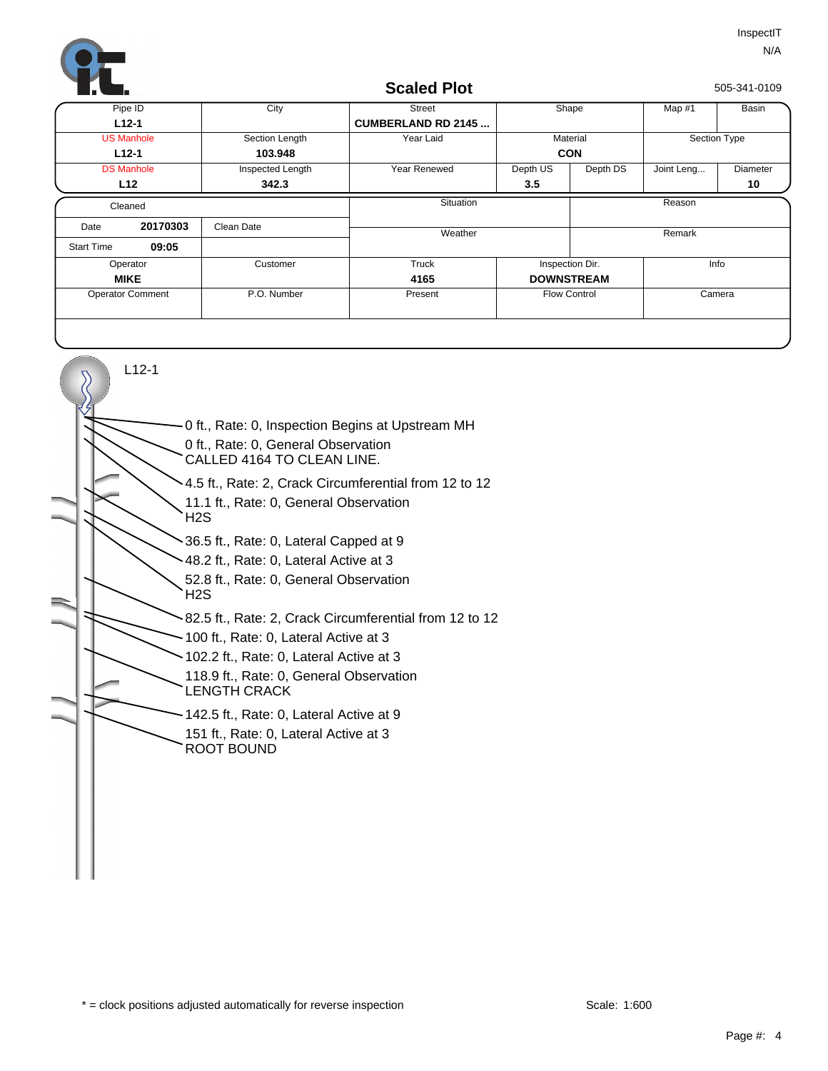

## **Scaled Plot**

505-341-0109

| Pipe ID                 |          | $\overline{C}$ ity | <b>Street</b>             | Shape               |          | Map #1       | Basin    |
|-------------------------|----------|--------------------|---------------------------|---------------------|----------|--------------|----------|
| $L12-1$                 |          |                    | <b>CUMBERLAND RD 2145</b> |                     |          |              |          |
| <b>US Manhole</b>       |          | Section Length     | Year Laid                 | Material            |          | Section Type |          |
| $L12-1$                 |          | 103.948            |                           | <b>CON</b>          |          |              |          |
| <b>DS Manhole</b>       |          | Inspected Length   | Year Renewed              | Depth US            | Depth DS | Joint Leng   | Diameter |
|                         | L12      | 342.3              |                           | 3.5                 |          |              | 10       |
| Cleaned                 |          |                    | Situation                 |                     |          | Reason       |          |
| Date                    | 20170303 | Clean Date         | Weather                   |                     |          | Remark       |          |
| <b>Start Time</b>       | 09:05    |                    |                           |                     |          |              |          |
| Operator                |          | Customer           | Truck                     | Inspection Dir.     |          | Info         |          |
| <b>MIKE</b>             |          |                    | 4165                      | <b>DOWNSTREAM</b>   |          |              |          |
| <b>Operator Comment</b> |          | P.O. Number        | Present                   | <b>Flow Control</b> |          | Camera       |          |
|                         |          |                    |                           |                     |          |              |          |